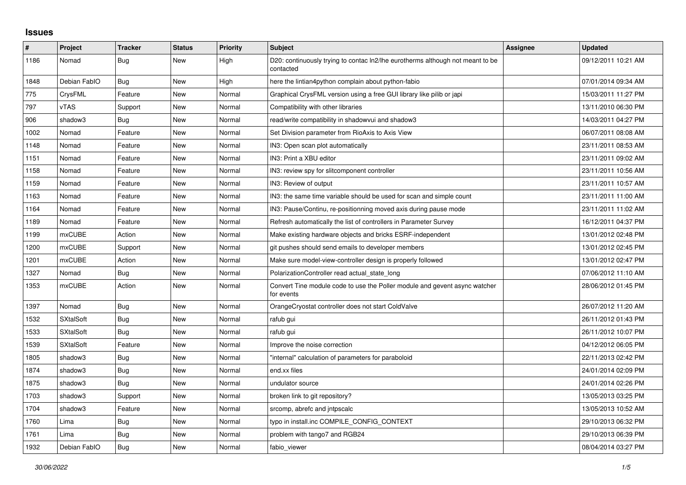## **Issues**

| $\#$ | Project          | <b>Tracker</b> | <b>Status</b> | <b>Priority</b> | <b>Subject</b>                                                                              | Assignee | <b>Updated</b>      |
|------|------------------|----------------|---------------|-----------------|---------------------------------------------------------------------------------------------|----------|---------------------|
| 1186 | Nomad            | <b>Bug</b>     | New           | High            | D20: continuously trying to contac ln2/lhe eurotherms although not meant to be<br>contacted |          | 09/12/2011 10:21 AM |
| 1848 | Debian FablO     | Bug            | New           | High            | here the lintian4python complain about python-fabio                                         |          | 07/01/2014 09:34 AM |
| 775  | CrysFML          | Feature        | <b>New</b>    | Normal          | Graphical CrysFML version using a free GUI library like pilib or japi                       |          | 15/03/2011 11:27 PM |
| 797  | <b>vTAS</b>      | Support        | <b>New</b>    | Normal          | Compatibility with other libraries                                                          |          | 13/11/2010 06:30 PM |
| 906  | shadow3          | Bug            | New           | Normal          | read/write compatibility in shadowvui and shadow3                                           |          | 14/03/2011 04:27 PM |
| 1002 | Nomad            | Feature        | New           | Normal          | Set Division parameter from RioAxis to Axis View                                            |          | 06/07/2011 08:08 AM |
| 1148 | Nomad            | Feature        | <b>New</b>    | Normal          | IN3: Open scan plot automatically                                                           |          | 23/11/2011 08:53 AM |
| 1151 | Nomad            | Feature        | New           | Normal          | IN3: Print a XBU editor                                                                     |          | 23/11/2011 09:02 AM |
| 1158 | Nomad            | Feature        | New           | Normal          | IN3: review spy for slitcomponent controller                                                |          | 23/11/2011 10:56 AM |
| 1159 | Nomad            | Feature        | <b>New</b>    | Normal          | IN3: Review of output                                                                       |          | 23/11/2011 10:57 AM |
| 1163 | Nomad            | Feature        | New           | Normal          | IN3: the same time variable should be used for scan and simple count                        |          | 23/11/2011 11:00 AM |
| 1164 | Nomad            | Feature        | New           | Normal          | IN3: Pause/Continu, re-positionning moved axis during pause mode                            |          | 23/11/2011 11:02 AM |
| 1189 | Nomad            | Feature        | <b>New</b>    | Normal          | Refresh automatically the list of controllers in Parameter Survey                           |          | 16/12/2011 04:37 PM |
| 1199 | <b>mxCUBE</b>    | Action         | New           | Normal          | Make existing hardware objects and bricks ESRF-independent                                  |          | 13/01/2012 02:48 PM |
| 1200 | <b>mxCUBE</b>    | Support        | New           | Normal          | git pushes should send emails to developer members                                          |          | 13/01/2012 02:45 PM |
| 1201 | mxCUBE           | Action         | <b>New</b>    | Normal          | Make sure model-view-controller design is properly followed                                 |          | 13/01/2012 02:47 PM |
| 1327 | Nomad            | Bug            | New           | Normal          | PolarizationController read actual state long                                               |          | 07/06/2012 11:10 AM |
| 1353 | mxCUBE           | Action         | New           | Normal          | Convert Tine module code to use the Poller module and gevent async watcher<br>for events    |          | 28/06/2012 01:45 PM |
| 1397 | Nomad            | Bug            | New           | Normal          | OrangeCryostat controller does not start ColdValve                                          |          | 26/07/2012 11:20 AM |
| 1532 | <b>SXtalSoft</b> | Bug            | New           | Normal          | rafub gui                                                                                   |          | 26/11/2012 01:43 PM |
| 1533 | <b>SXtalSoft</b> | <b>Bug</b>     | New           | Normal          | rafub gui                                                                                   |          | 26/11/2012 10:07 PM |
| 1539 | <b>SXtalSoft</b> | Feature        | New           | Normal          | Improve the noise correction                                                                |          | 04/12/2012 06:05 PM |
| 1805 | shadow3          | Bug            | New           | Normal          | "internal" calculation of parameters for paraboloid                                         |          | 22/11/2013 02:42 PM |
| 1874 | shadow3          | <b>Bug</b>     | New           | Normal          | end.xx files                                                                                |          | 24/01/2014 02:09 PM |
| 1875 | shadow3          | <b>Bug</b>     | New           | Normal          | undulator source                                                                            |          | 24/01/2014 02:26 PM |
| 1703 | shadow3          | Support        | New           | Normal          | broken link to git repository?                                                              |          | 13/05/2013 03:25 PM |
| 1704 | shadow3          | Feature        | New           | Normal          | srcomp, abrefc and intpscalc                                                                |          | 13/05/2013 10:52 AM |
| 1760 | Lima             | <b>Bug</b>     | New           | Normal          | typo in install.inc COMPILE CONFIG CONTEXT                                                  |          | 29/10/2013 06:32 PM |
| 1761 | Lima             | Bug            | New           | Normal          | problem with tango7 and RGB24                                                               |          | 29/10/2013 06:39 PM |
| 1932 | Debian FablO     | Bug            | New           | Normal          | fabio viewer                                                                                |          | 08/04/2014 03:27 PM |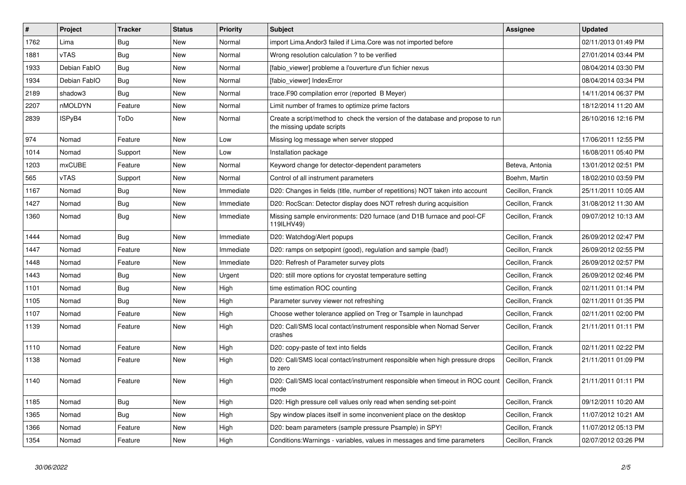| $\#$ | Project       | <b>Tracker</b> | <b>Status</b> | Priority  | <b>Subject</b>                                                                                               | Assignee         | <b>Updated</b>      |
|------|---------------|----------------|---------------|-----------|--------------------------------------------------------------------------------------------------------------|------------------|---------------------|
| 1762 | Lima          | <b>Bug</b>     | New           | Normal    | import Lima. Andor3 failed if Lima. Core was not imported before                                             |                  | 02/11/2013 01:49 PM |
| 1881 | vTAS          | <b>Bug</b>     | <b>New</b>    | Normal    | Wrong resolution calculation ? to be verified                                                                |                  | 27/01/2014 03:44 PM |
| 1933 | Debian FablO  | Bug            | New           | Normal    | [fabio_viewer] probleme a l'ouverture d'un fichier nexus                                                     |                  | 08/04/2014 03:30 PM |
| 1934 | Debian FablO  | <b>Bug</b>     | New           | Normal    | [fabio viewer] IndexError                                                                                    |                  | 08/04/2014 03:34 PM |
| 2189 | shadow3       | Bug            | New           | Normal    | trace. F90 compilation error (reported B Meyer)                                                              |                  | 14/11/2014 06:37 PM |
| 2207 | nMOLDYN       | Feature        | <b>New</b>    | Normal    | Limit number of frames to optimize prime factors                                                             |                  | 18/12/2014 11:20 AM |
| 2839 | ISPyB4        | ToDo           | New           | Normal    | Create a script/method to check the version of the database and propose to run<br>the missing update scripts |                  | 26/10/2016 12:16 PM |
| 974  | Nomad         | Feature        | <b>New</b>    | Low       | Missing log message when server stopped                                                                      |                  | 17/06/2011 12:55 PM |
| 1014 | Nomad         | Support        | New           | Low       | Installation package                                                                                         |                  | 16/08/2011 05:40 PM |
| 1203 | <b>mxCUBE</b> | Feature        | New           | Normal    | Keyword change for detector-dependent parameters                                                             | Beteva, Antonia  | 13/01/2012 02:51 PM |
| 565  | vTAS          | Support        | New           | Normal    | Control of all instrument parameters                                                                         | Boehm, Martin    | 18/02/2010 03:59 PM |
| 1167 | Nomad         | <b>Bug</b>     | New           | Immediate | D20: Changes in fields (title, number of repetitions) NOT taken into account                                 | Cecillon, Franck | 25/11/2011 10:05 AM |
| 1427 | Nomad         | Bug            | New           | Immediate | D20: RocScan: Detector display does NOT refresh during acquisition                                           | Cecillon, Franck | 31/08/2012 11:30 AM |
| 1360 | Nomad         | Bug            | New           | Immediate | Missing sample environments: D20 furnace (and D1B furnace and pool-CF<br>119ILHV49)                          | Cecillon, Franck | 09/07/2012 10:13 AM |
| 1444 | Nomad         | <b>Bug</b>     | <b>New</b>    | Immediate | D20: Watchdog/Alert popups                                                                                   | Cecillon, Franck | 26/09/2012 02:47 PM |
| 1447 | Nomad         | Feature        | New           | Immediate | D20: ramps on setpopint (good), regulation and sample (bad!)                                                 | Cecillon, Franck | 26/09/2012 02:55 PM |
| 1448 | Nomad         | Feature        | New           | Immediate | D20: Refresh of Parameter survey plots                                                                       | Cecillon, Franck | 26/09/2012 02:57 PM |
| 1443 | Nomad         | Bug            | New           | Urgent    | D20: still more options for cryostat temperature setting                                                     | Cecillon, Franck | 26/09/2012 02:46 PM |
| 1101 | Nomad         | <b>Bug</b>     | New           | High      | time estimation ROC counting                                                                                 | Cecillon, Franck | 02/11/2011 01:14 PM |
| 1105 | Nomad         | Bug            | New           | High      | Parameter survey viewer not refreshing                                                                       | Cecillon, Franck | 02/11/2011 01:35 PM |
| 1107 | Nomad         | Feature        | New           | High      | Choose wether tolerance applied on Treg or Tsample in launchpad                                              | Cecillon, Franck | 02/11/2011 02:00 PM |
| 1139 | Nomad         | Feature        | New           | High      | D20: Call/SMS local contact/instrument responsible when Nomad Server<br>crashes                              | Cecillon, Franck | 21/11/2011 01:11 PM |
| 1110 | Nomad         | Feature        | New           | High      | D20: copy-paste of text into fields                                                                          | Cecillon, Franck | 02/11/2011 02:22 PM |
| 1138 | Nomad         | Feature        | New           | High      | D20: Call/SMS local contact/instrument responsible when high pressure drops<br>to zero                       | Cecillon, Franck | 21/11/2011 01:09 PM |
| 1140 | Nomad         | Feature        | <b>New</b>    | High      | D20: Call/SMS local contact/instrument responsible when timeout in ROC count<br>mode                         | Cecillon, Franck | 21/11/2011 01:11 PM |
| 1185 | Nomad         | <b>Bug</b>     | <b>New</b>    | High      | D20: High pressure cell values only read when sending set-point                                              | Cecillon, Franck | 09/12/2011 10:20 AM |
| 1365 | Nomad         | <b>Bug</b>     | New           | High      | Spy window places itself in some inconvenient place on the desktop                                           | Cecillon, Franck | 11/07/2012 10:21 AM |
| 1366 | Nomad         | Feature        | New           | High      | D20: beam parameters (sample pressure Psample) in SPY!                                                       | Cecillon, Franck | 11/07/2012 05:13 PM |
| 1354 | Nomad         | Feature        | <b>New</b>    | High      | Conditions: Warnings - variables, values in messages and time parameters                                     | Cecillon, Franck | 02/07/2012 03:26 PM |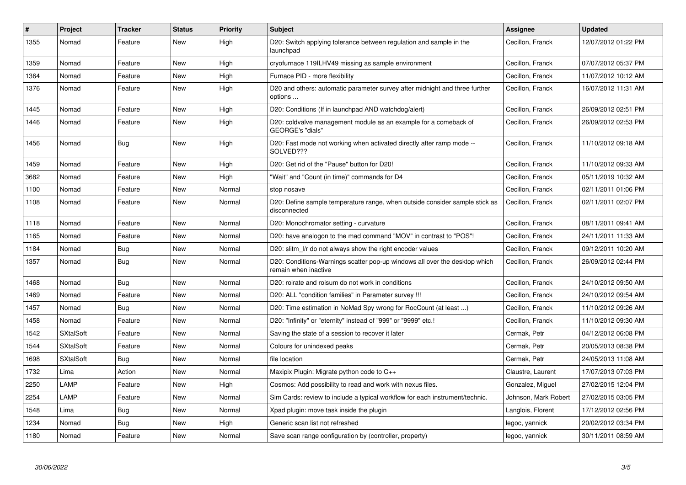| #    | Project          | <b>Tracker</b> | <b>Status</b> | Priority | <b>Subject</b>                                                                                     | Assignee             | <b>Updated</b>      |
|------|------------------|----------------|---------------|----------|----------------------------------------------------------------------------------------------------|----------------------|---------------------|
| 1355 | Nomad            | Feature        | <b>New</b>    | High     | D20: Switch applying tolerance between regulation and sample in the<br>launchpad                   | Cecillon, Franck     | 12/07/2012 01:22 PM |
| 1359 | Nomad            | Feature        | <b>New</b>    | High     | cryofurnace 119ILHV49 missing as sample environment                                                | Cecillon, Franck     | 07/07/2012 05:37 PM |
| 1364 | Nomad            | Feature        | New           | High     | Furnace PID - more flexibility                                                                     | Cecillon, Franck     | 11/07/2012 10:12 AM |
| 1376 | Nomad            | Feature        | New           | High     | D20 and others: automatic parameter survey after midnight and three further<br>options             | Cecillon, Franck     | 16/07/2012 11:31 AM |
| 1445 | Nomad            | Feature        | New           | High     | D20: Conditions (If in launchpad AND watchdog/alert)                                               | Cecillon, Franck     | 26/09/2012 02:51 PM |
| 1446 | Nomad            | Feature        | New           | High     | D20: coldvalve management module as an example for a comeback of<br>GEORGE's "dials"               | Cecillon, Franck     | 26/09/2012 02:53 PM |
| 1456 | Nomad            | Bug            | New           | High     | D20: Fast mode not working when activated directly after ramp mode --<br>SOLVED???                 | Cecillon, Franck     | 11/10/2012 09:18 AM |
| 1459 | Nomad            | Feature        | New           | High     | D20: Get rid of the "Pause" button for D20!                                                        | Cecillon, Franck     | 11/10/2012 09:33 AM |
| 3682 | Nomad            | Feature        | New           | High     | "Wait" and "Count (in time)" commands for D4                                                       | Cecillon, Franck     | 05/11/2019 10:32 AM |
| 1100 | Nomad            | Feature        | New           | Normal   | stop nosave                                                                                        | Cecillon, Franck     | 02/11/2011 01:06 PM |
| 1108 | Nomad            | Feature        | New           | Normal   | D20: Define sample temperature range, when outside consider sample stick as<br>disconnected        | Cecillon, Franck     | 02/11/2011 02:07 PM |
| 1118 | Nomad            | Feature        | New           | Normal   | D20: Monochromator setting - curvature                                                             | Cecillon, Franck     | 08/11/2011 09:41 AM |
| 1165 | Nomad            | Feature        | New           | Normal   | D20: have analogon to the mad command "MOV" in contrast to "POS"!                                  | Cecillon, Franck     | 24/11/2011 11:33 AM |
| 1184 | Nomad            | <b>Bug</b>     | <b>New</b>    | Normal   | D20: slitm I/r do not always show the right encoder values                                         | Cecillon, Franck     | 09/12/2011 10:20 AM |
| 1357 | Nomad            | Bug            | New           | Normal   | D20: Conditions-Warnings scatter pop-up windows all over the desktop which<br>remain when inactive | Cecillon, Franck     | 26/09/2012 02:44 PM |
| 1468 | Nomad            | Bug            | <b>New</b>    | Normal   | D20: roirate and roisum do not work in conditions                                                  | Cecillon, Franck     | 24/10/2012 09:50 AM |
| 1469 | Nomad            | Feature        | <b>New</b>    | Normal   | D20: ALL "condition families" in Parameter survey !!!                                              | Cecillon, Franck     | 24/10/2012 09:54 AM |
| 1457 | Nomad            | Bug            | <b>New</b>    | Normal   | D20: Time estimation in NoMad Spy wrong for RocCount (at least )                                   | Cecillon, Franck     | 11/10/2012 09:26 AM |
| 1458 | Nomad            | Feature        | New           | Normal   | D20: "Infinity" or "eternity" instead of "999" or "9999" etc.!                                     | Cecillon, Franck     | 11/10/2012 09:30 AM |
| 1542 | <b>SXtalSoft</b> | Feature        | <b>New</b>    | Normal   | Saving the state of a session to recover it later                                                  | Cermak, Petr         | 04/12/2012 06:08 PM |
| 1544 | <b>SXtalSoft</b> | Feature        | New           | Normal   | Colours for unindexed peaks                                                                        | Cermak, Petr         | 20/05/2013 08:38 PM |
| 1698 | <b>SXtalSoft</b> | <b>Bug</b>     | New           | Normal   | file location                                                                                      | Cermak, Petr         | 24/05/2013 11:08 AM |
| 1732 | Lima             | Action         | New           | Normal   | Maxipix Plugin: Migrate python code to $C_{++}$                                                    | Claustre, Laurent    | 17/07/2013 07:03 PM |
| 2250 | LAMP             | Feature        | New           | High     | Cosmos: Add possibility to read and work with nexus files.                                         | Gonzalez, Miguel     | 27/02/2015 12:04 PM |
| 2254 | LAMP             | Feature        | New           | Normal   | Sim Cards: review to include a typical workflow for each instrument/technic.                       | Johnson, Mark Robert | 27/02/2015 03:05 PM |
| 1548 | Lima             | <b>Bug</b>     | New           | Normal   | Xpad plugin: move task inside the plugin                                                           | Langlois, Florent    | 17/12/2012 02:56 PM |
| 1234 | Nomad            | Bug            | New           | High     | Generic scan list not refreshed                                                                    | legoc, yannick       | 20/02/2012 03:34 PM |
| 1180 | Nomad            | Feature        | <b>New</b>    | Normal   | Save scan range configuration by (controller, property)                                            | legoc, yannick       | 30/11/2011 08:59 AM |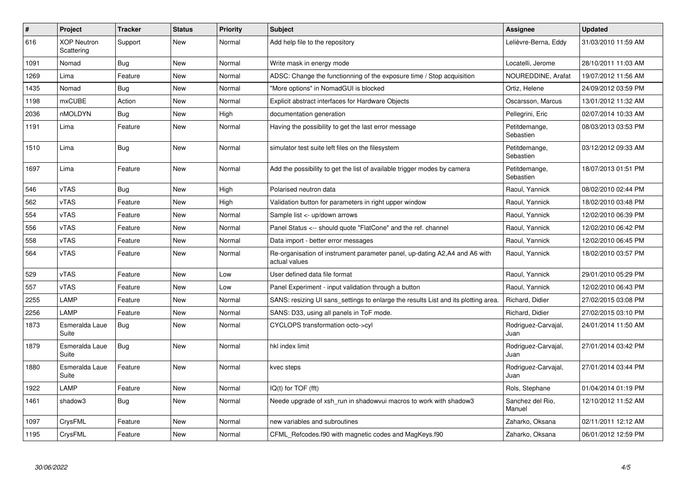| $\vert$ # | Project                          | <b>Tracker</b> | <b>Status</b> | <b>Priority</b> | <b>Subject</b>                                                                               | Assignee                    | <b>Updated</b>      |
|-----------|----------------------------------|----------------|---------------|-----------------|----------------------------------------------------------------------------------------------|-----------------------------|---------------------|
| 616       | <b>XOP Neutron</b><br>Scattering | Support        | New           | Normal          | Add help file to the repository                                                              | Lelièvre-Berna, Eddy        | 31/03/2010 11:59 AM |
| 1091      | Nomad                            | Bug            | New           | Normal          | Write mask in energy mode                                                                    | Locatelli, Jerome           | 28/10/2011 11:03 AM |
| 1269      | Lima                             | Feature        | New           | Normal          | ADSC: Change the functionning of the exposure time / Stop acquisition                        | NOUREDDINE, Arafat          | 19/07/2012 11:56 AM |
| 1435      | Nomad                            | <b>Bug</b>     | <b>New</b>    | Normal          | "More options" in NomadGUI is blocked                                                        | Ortiz, Helene               | 24/09/2012 03:59 PM |
| 1198      | mxCUBE                           | Action         | New           | Normal          | Explicit abstract interfaces for Hardware Objects                                            | Oscarsson, Marcus           | 13/01/2012 11:32 AM |
| 2036      | nMOLDYN                          | Bug            | New           | High            | documentation generation                                                                     | Pellegrini, Eric            | 02/07/2014 10:33 AM |
| 1191      | Lima                             | Feature        | <b>New</b>    | Normal          | Having the possibility to get the last error message                                         | Petitdemange,<br>Sebastien  | 08/03/2013 03:53 PM |
| 1510      | Lima                             | <b>Bug</b>     | <b>New</b>    | Normal          | simulator test suite left files on the filesystem                                            | Petitdemange,<br>Sebastien  | 03/12/2012 09:33 AM |
| 1697      | Lima                             | Feature        | <b>New</b>    | Normal          | Add the possibility to get the list of available trigger modes by camera                     | Petitdemange,<br>Sebastien  | 18/07/2013 01:51 PM |
| 546       | <b>vTAS</b>                      | Bug            | New           | High            | Polarised neutron data                                                                       | Raoul, Yannick              | 08/02/2010 02:44 PM |
| 562       | <b>vTAS</b>                      | Feature        | New           | High            | Validation button for parameters in right upper window                                       | Raoul, Yannick              | 18/02/2010 03:48 PM |
| 554       | <b>vTAS</b>                      | Feature        | <b>New</b>    | Normal          | Sample list <- up/down arrows                                                                | Raoul, Yannick              | 12/02/2010 06:39 PM |
| 556       | <b>vTAS</b>                      | Feature        | New           | Normal          | Panel Status <-- should quote "FlatCone" and the ref. channel                                | Raoul, Yannick              | 12/02/2010 06:42 PM |
| 558       | vTAS                             | Feature        | New           | Normal          | Data import - better error messages                                                          | Raoul, Yannick              | 12/02/2010 06:45 PM |
| 564       | vTAS                             | Feature        | New           | Normal          | Re-organisation of instrument parameter panel, up-dating A2, A4 and A6 with<br>actual values | Raoul, Yannick              | 18/02/2010 03:57 PM |
| 529       | vTAS                             | Feature        | <b>New</b>    | Low             | User defined data file format                                                                | Raoul, Yannick              | 29/01/2010 05:29 PM |
| 557       | vTAS                             | Feature        | New           | Low             | Panel Experiment - input validation through a button                                         | Raoul, Yannick              | 12/02/2010 06:43 PM |
| 2255      | LAMP                             | Feature        | New           | Normal          | SANS: resizing UI sans settings to enlarge the results List and its plotting area.           | Richard, Didier             | 27/02/2015 03:08 PM |
| 2256      | LAMP                             | Feature        | New           | Normal          | SANS: D33, using all panels in ToF mode.                                                     | Richard, Didier             | 27/02/2015 03:10 PM |
| 1873      | Esmeralda Laue<br>Suite          | Bug            | New           | Normal          | CYCLOPS transformation octo->cyl                                                             | Rodriguez-Carvajal,<br>Juan | 24/01/2014 11:50 AM |
| 1879      | Esmeralda Laue<br>Suite          | <b>Bug</b>     | <b>New</b>    | Normal          | hkl index limit                                                                              | Rodriguez-Carvajal,<br>Juan | 27/01/2014 03:42 PM |
| 1880      | Esmeralda Laue<br>Suite          | Feature        | New           | Normal          | kvec steps                                                                                   | Rodriguez-Carvajal,<br>Juan | 27/01/2014 03:44 PM |
| 1922      | LAMP                             | Feature        | New           | Normal          | $IQ(t)$ for $TOF$ (fft)                                                                      | Rols, Stephane              | 01/04/2014 01:19 PM |
| 1461      | shadow3                          | Bug            | <b>New</b>    | Normal          | Neede upgrade of xsh_run in shadowvui macros to work with shadow3                            | Sanchez del Rio,<br>Manuel  | 12/10/2012 11:52 AM |
| 1097      | CrysFML                          | Feature        | New           | Normal          | new variables and subroutines                                                                | Zaharko, Oksana             | 02/11/2011 12:12 AM |
| 1195      | CrysFML                          | Feature        | <b>New</b>    | Normal          | CFML_Refcodes.f90 with magnetic codes and MagKeys.f90                                        | Zaharko, Oksana             | 06/01/2012 12:59 PM |